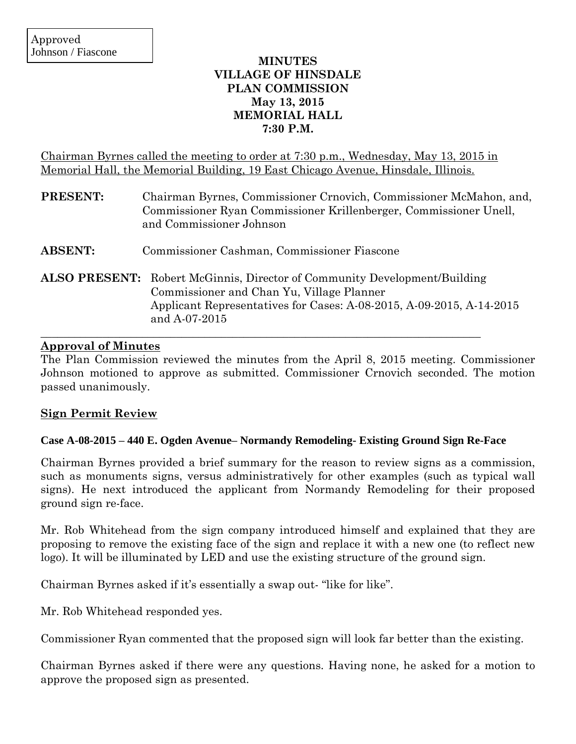# **MINUTES VILLAGE OF HINSDALE PLAN COMMISSION May 13, 2015 MEMORIAL HALL 7:30 P.M.**

Chairman Byrnes called the meeting to order at 7:30 p.m., Wednesday, May 13, 2015 in Memorial Hall, the Memorial Building, 19 East Chicago Avenue, Hinsdale, Illinois.

| PRESENT:       | Chairman Byrnes, Commissioner Crnovich, Commissioner McMahon, and,<br>Commissioner Ryan Commissioner Krillenberger, Commissioner Unell,<br>and Commissioner Johnson                                                    |
|----------------|------------------------------------------------------------------------------------------------------------------------------------------------------------------------------------------------------------------------|
| <b>ABSENT:</b> | Commissioner Cashman, Commissioner Fiascone                                                                                                                                                                            |
|                | <b>ALSO PRESENT:</b> Robert McGinnis, Director of Community Development/Building<br>Commissioner and Chan Yu, Village Planner<br>Applicant Representatives for Cases: A-08-2015, A-09-2015, A-14-2015<br>and A-07-2015 |

### **Approval of Minutes**

The Plan Commission reviewed the minutes from the April 8, 2015 meeting. Commissioner Johnson motioned to approve as submitted. Commissioner Crnovich seconded. The motion passed unanimously.

# **Sign Permit Review**

### **Case A-08-2015 – 440 E. Ogden Avenue– Normandy Remodeling- Existing Ground Sign Re-Face**

Chairman Byrnes provided a brief summary for the reason to review signs as a commission, such as monuments signs, versus administratively for other examples (such as typical wall signs). He next introduced the applicant from Normandy Remodeling for their proposed ground sign re-face.

Mr. Rob Whitehead from the sign company introduced himself and explained that they are proposing to remove the existing face of the sign and replace it with a new one (to reflect new logo). It will be illuminated by LED and use the existing structure of the ground sign.

Chairman Byrnes asked if it's essentially a swap out- "like for like".

Mr. Rob Whitehead responded yes.

Commissioner Ryan commented that the proposed sign will look far better than the existing.

Chairman Byrnes asked if there were any questions. Having none, he asked for a motion to approve the proposed sign as presented.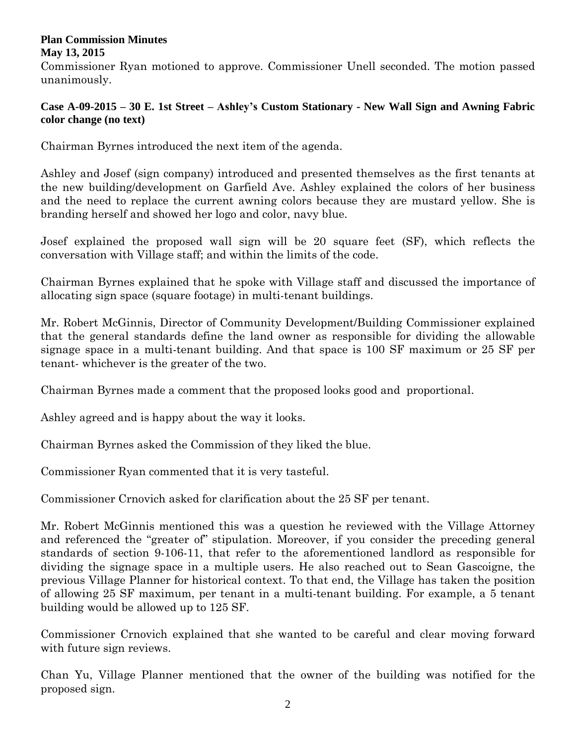Commissioner Ryan motioned to approve. Commissioner Unell seconded. The motion passed unanimously.

# **Case A-09-2015 – 30 E. 1st Street – Ashley's Custom Stationary - New Wall Sign and Awning Fabric color change (no text)**

Chairman Byrnes introduced the next item of the agenda.

Ashley and Josef (sign company) introduced and presented themselves as the first tenants at the new building/development on Garfield Ave. Ashley explained the colors of her business and the need to replace the current awning colors because they are mustard yellow. She is branding herself and showed her logo and color, navy blue.

Josef explained the proposed wall sign will be 20 square feet (SF), which reflects the conversation with Village staff; and within the limits of the code.

Chairman Byrnes explained that he spoke with Village staff and discussed the importance of allocating sign space (square footage) in multi-tenant buildings.

Mr. Robert McGinnis, Director of Community Development/Building Commissioner explained that the general standards define the land owner as responsible for dividing the allowable signage space in a multi-tenant building. And that space is 100 SF maximum or 25 SF per tenant- whichever is the greater of the two.

Chairman Byrnes made a comment that the proposed looks good and proportional.

Ashley agreed and is happy about the way it looks.

Chairman Byrnes asked the Commission of they liked the blue.

Commissioner Ryan commented that it is very tasteful.

Commissioner Crnovich asked for clarification about the 25 SF per tenant.

Mr. Robert McGinnis mentioned this was a question he reviewed with the Village Attorney and referenced the "greater of" stipulation. Moreover, if you consider the preceding general standards of section 9-106-11, that refer to the aforementioned landlord as responsible for dividing the signage space in a multiple users. He also reached out to Sean Gascoigne, the previous Village Planner for historical context. To that end, the Village has taken the position of allowing 25 SF maximum, per tenant in a multi-tenant building. For example, a 5 tenant building would be allowed up to 125 SF.

Commissioner Crnovich explained that she wanted to be careful and clear moving forward with future sign reviews.

Chan Yu, Village Planner mentioned that the owner of the building was notified for the proposed sign.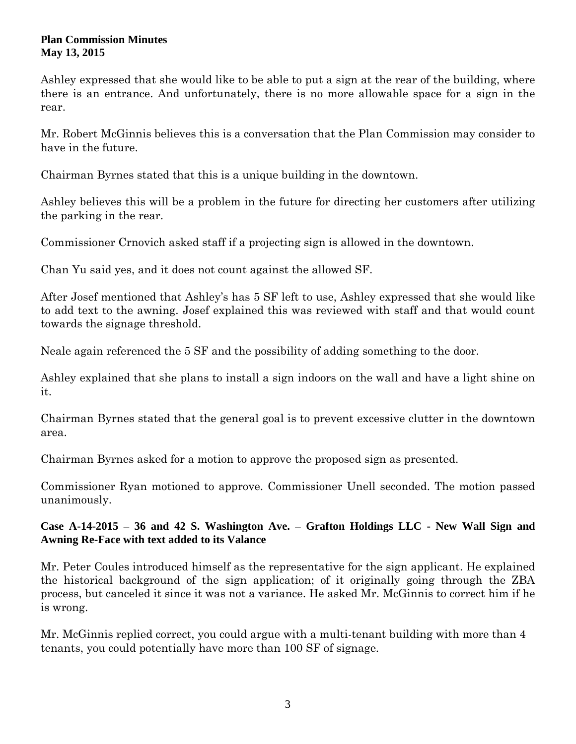Ashley expressed that she would like to be able to put a sign at the rear of the building, where there is an entrance. And unfortunately, there is no more allowable space for a sign in the rear.

Mr. Robert McGinnis believes this is a conversation that the Plan Commission may consider to have in the future.

Chairman Byrnes stated that this is a unique building in the downtown.

Ashley believes this will be a problem in the future for directing her customers after utilizing the parking in the rear.

Commissioner Crnovich asked staff if a projecting sign is allowed in the downtown.

Chan Yu said yes, and it does not count against the allowed SF.

After Josef mentioned that Ashley's has 5 SF left to use, Ashley expressed that she would like to add text to the awning. Josef explained this was reviewed with staff and that would count towards the signage threshold.

Neale again referenced the 5 SF and the possibility of adding something to the door.

Ashley explained that she plans to install a sign indoors on the wall and have a light shine on it.

Chairman Byrnes stated that the general goal is to prevent excessive clutter in the downtown area.

Chairman Byrnes asked for a motion to approve the proposed sign as presented.

Commissioner Ryan motioned to approve. Commissioner Unell seconded. The motion passed unanimously.

**Case A-14-2015 – 36 and 42 S. Washington Ave. – Grafton Holdings LLC - New Wall Sign and Awning Re-Face with text added to its Valance**

Mr. Peter Coules introduced himself as the representative for the sign applicant. He explained the historical background of the sign application; of it originally going through the ZBA process, but canceled it since it was not a variance. He asked Mr. McGinnis to correct him if he is wrong.

Mr. McGinnis replied correct, you could argue with a multi-tenant building with more than 4 tenants, you could potentially have more than 100 SF of signage.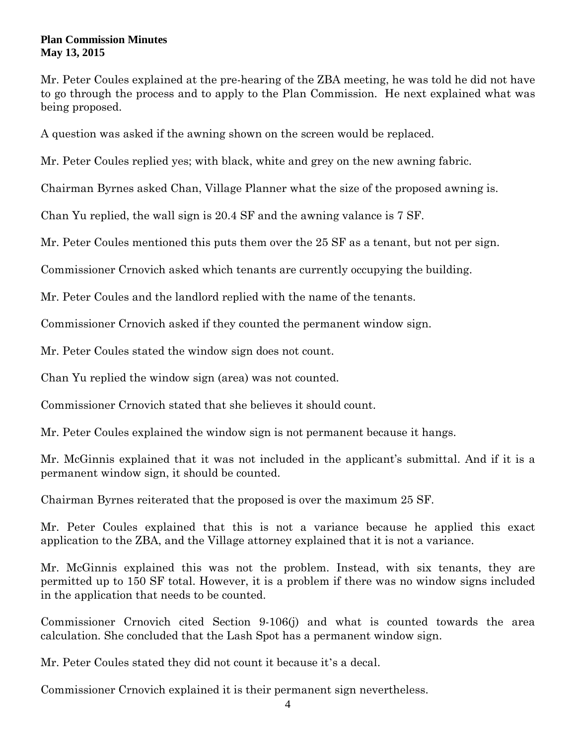Mr. Peter Coules explained at the pre-hearing of the ZBA meeting, he was told he did not have to go through the process and to apply to the Plan Commission. He next explained what was being proposed.

A question was asked if the awning shown on the screen would be replaced.

Mr. Peter Coules replied yes; with black, white and grey on the new awning fabric.

Chairman Byrnes asked Chan, Village Planner what the size of the proposed awning is.

Chan Yu replied, the wall sign is 20.4 SF and the awning valance is 7 SF.

Mr. Peter Coules mentioned this puts them over the 25 SF as a tenant, but not per sign.

Commissioner Crnovich asked which tenants are currently occupying the building.

Mr. Peter Coules and the landlord replied with the name of the tenants.

Commissioner Crnovich asked if they counted the permanent window sign.

Mr. Peter Coules stated the window sign does not count.

Chan Yu replied the window sign (area) was not counted.

Commissioner Crnovich stated that she believes it should count.

Mr. Peter Coules explained the window sign is not permanent because it hangs.

Mr. McGinnis explained that it was not included in the applicant's submittal. And if it is a permanent window sign, it should be counted.

Chairman Byrnes reiterated that the proposed is over the maximum 25 SF.

Mr. Peter Coules explained that this is not a variance because he applied this exact application to the ZBA, and the Village attorney explained that it is not a variance.

Mr. McGinnis explained this was not the problem. Instead, with six tenants, they are permitted up to 150 SF total. However, it is a problem if there was no window signs included in the application that needs to be counted.

Commissioner Crnovich cited Section 9-106(j) and what is counted towards the area calculation. She concluded that the Lash Spot has a permanent window sign.

Mr. Peter Coules stated they did not count it because it's a decal.

Commissioner Crnovich explained it is their permanent sign nevertheless.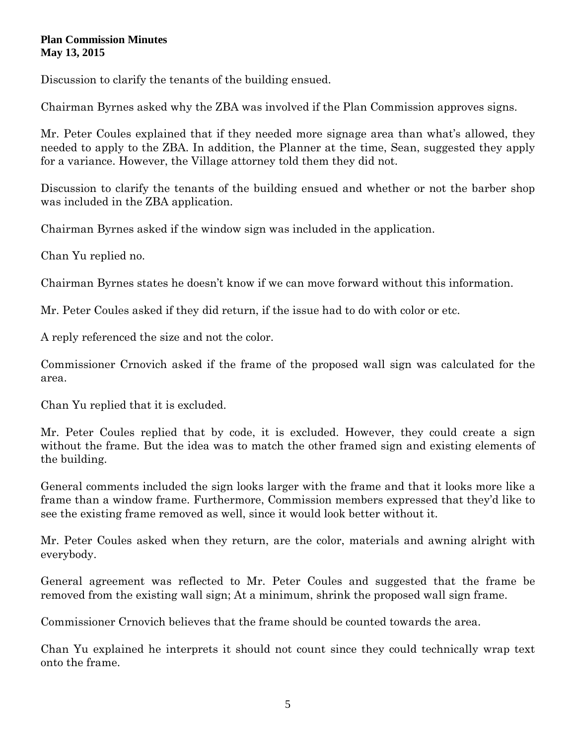Discussion to clarify the tenants of the building ensued.

Chairman Byrnes asked why the ZBA was involved if the Plan Commission approves signs.

Mr. Peter Coules explained that if they needed more signage area than what's allowed, they needed to apply to the ZBA. In addition, the Planner at the time, Sean, suggested they apply for a variance. However, the Village attorney told them they did not.

Discussion to clarify the tenants of the building ensued and whether or not the barber shop was included in the ZBA application.

Chairman Byrnes asked if the window sign was included in the application.

Chan Yu replied no.

Chairman Byrnes states he doesn't know if we can move forward without this information.

Mr. Peter Coules asked if they did return, if the issue had to do with color or etc.

A reply referenced the size and not the color.

Commissioner Crnovich asked if the frame of the proposed wall sign was calculated for the area.

Chan Yu replied that it is excluded.

Mr. Peter Coules replied that by code, it is excluded. However, they could create a sign without the frame. But the idea was to match the other framed sign and existing elements of the building.

General comments included the sign looks larger with the frame and that it looks more like a frame than a window frame. Furthermore, Commission members expressed that they'd like to see the existing frame removed as well, since it would look better without it.

Mr. Peter Coules asked when they return, are the color, materials and awning alright with everybody.

General agreement was reflected to Mr. Peter Coules and suggested that the frame be removed from the existing wall sign; At a minimum, shrink the proposed wall sign frame.

Commissioner Crnovich believes that the frame should be counted towards the area.

Chan Yu explained he interprets it should not count since they could technically wrap text onto the frame.